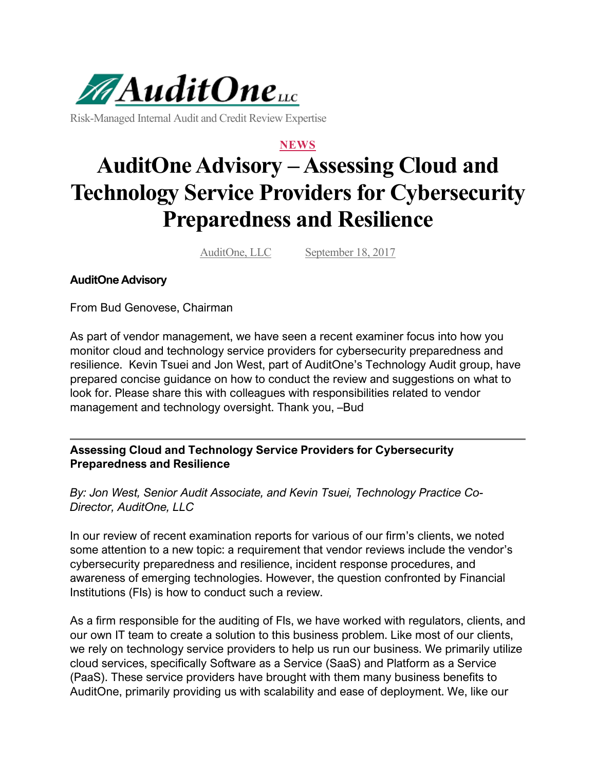

Risk-Managed Internal Audit and Credit Review Expertise

## **NEWS**

## **AuditOne Advisory – Assessing Cloud and Technology Service Providers for Cybersecurity Preparedness and Resilience**

AuditOne, LLC September 18, 2017

## **AuditOne Advisory**

From Bud Genovese, Chairman

As part of vendor management, we have seen a recent examiner focus into how you monitor cloud and technology service providers for cybersecurity preparedness and resilience. Kevin Tsuei and Jon West, part of AuditOne's Technology Audit group, have prepared concise guidance on how to conduct the review and suggestions on what to look for. Please share this with colleagues with responsibilities related to vendor management and technology oversight. Thank you, –Bud

**Assessing Cloud and Technology Service Providers for Cybersecurity Preparedness and Resilience**

*By: Jon West, Senior Audit Associate, and Kevin Tsuei, Technology Practice Co-Director, AuditOne, LLC*

In our review of recent examination reports for various of our firm's clients, we noted some attention to a new topic: a requirement that vendor reviews include the vendor's cybersecurity preparedness and resilience, incident response procedures, and awareness of emerging technologies. However, the question confronted by Financial Institutions (FIs) is how to conduct such a review.

As a firm responsible for the auditing of FIs, we have worked with regulators, clients, and our own IT team to create a solution to this business problem. Like most of our clients, we rely on technology service providers to help us run our business. We primarily utilize cloud services, specifically Software as a Service (SaaS) and Platform as a Service (PaaS). These service providers have brought with them many business benefits to AuditOne, primarily providing us with scalability and ease of deployment. We, like our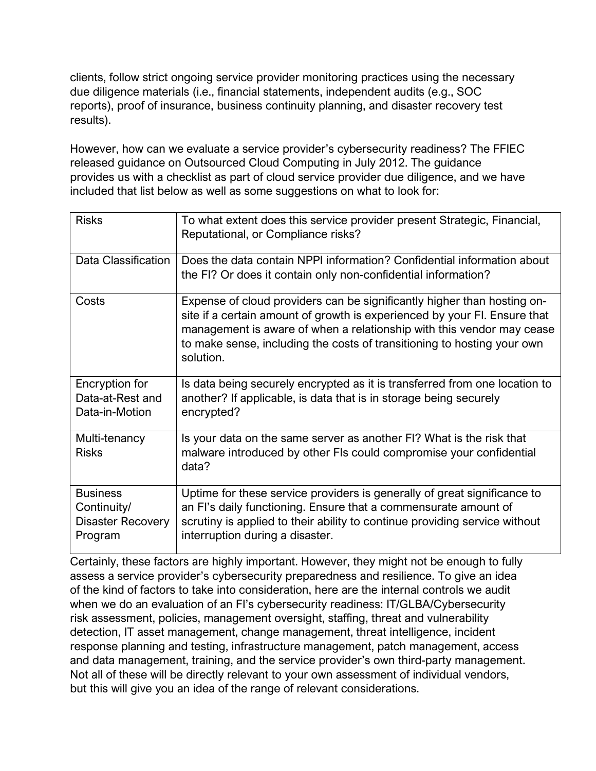clients, follow strict ongoing service provider monitoring practices using the necessary due diligence materials (i.e., financial statements, independent audits (e.g., SOC reports), proof of insurance, business continuity planning, and disaster recovery test results).

However, how can we evaluate a service provider's cybersecurity readiness? The FFIEC released guidance on Outsourced Cloud Computing in July 2012. The guidance provides us with a checklist as part of cloud service provider due diligence, and we have included that list below as well as some suggestions on what to look for:

| <b>Risks</b>                                                          | To what extent does this service provider present Strategic, Financial,<br>Reputational, or Compliance risks?                                                                                                                                                                                                         |
|-----------------------------------------------------------------------|-----------------------------------------------------------------------------------------------------------------------------------------------------------------------------------------------------------------------------------------------------------------------------------------------------------------------|
| Data Classification                                                   | Does the data contain NPPI information? Confidential information about<br>the FI? Or does it contain only non-confidential information?                                                                                                                                                                               |
| Costs                                                                 | Expense of cloud providers can be significantly higher than hosting on-<br>site if a certain amount of growth is experienced by your FI. Ensure that<br>management is aware of when a relationship with this vendor may cease<br>to make sense, including the costs of transitioning to hosting your own<br>solution. |
| Encryption for<br>Data-at-Rest and<br>Data-in-Motion                  | Is data being securely encrypted as it is transferred from one location to<br>another? If applicable, is data that is in storage being securely<br>encrypted?                                                                                                                                                         |
| Multi-tenancy<br><b>Risks</b>                                         | Is your data on the same server as another FI? What is the risk that<br>malware introduced by other FIs could compromise your confidential<br>data?                                                                                                                                                                   |
| <b>Business</b><br>Continuity/<br><b>Disaster Recovery</b><br>Program | Uptime for these service providers is generally of great significance to<br>an FI's daily functioning. Ensure that a commensurate amount of<br>scrutiny is applied to their ability to continue providing service without<br>interruption during a disaster.                                                          |

Certainly, these factors are highly important. However, they might not be enough to fully assess a service provider's cybersecurity preparedness and resilience. To give an idea of the kind of factors to take into consideration, here are the internal controls we audit when we do an evaluation of an FI's cybersecurity readiness: IT/GLBA/Cybersecurity risk assessment, policies, management oversight, staffing, threat and vulnerability detection, IT asset management, change management, threat intelligence, incident response planning and testing, infrastructure management, patch management, access and data management, training, and the service provider's own third-party management. Not all of these will be directly relevant to your own assessment of individual vendors, but this will give you an idea of the range of relevant considerations.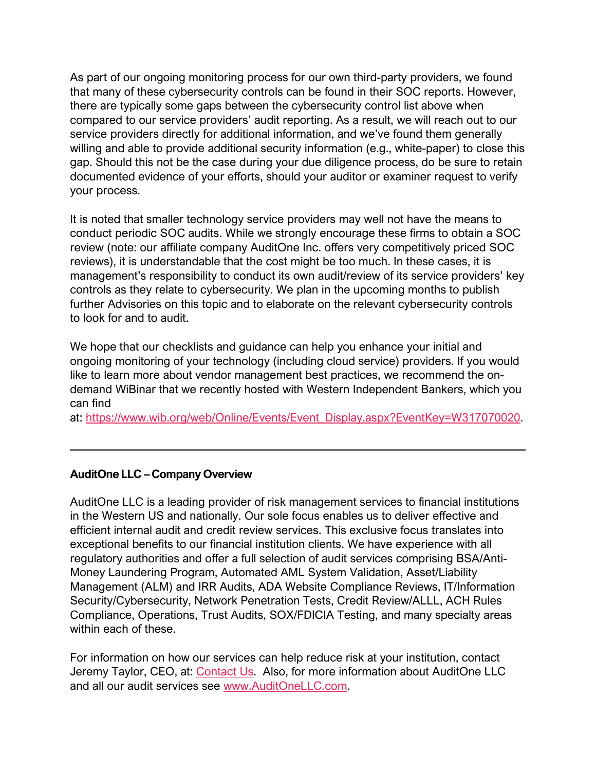As part of our ongoing monitoring process for our own third-party providers, we found that many of these cybersecurity controls can be found in their SOC reports. However, there are typically some gaps between the cybersecurity control list above when compared to our service providers' audit reporting. As a result, we will reach out to our service providers directly for additional information, and we've found them generally willing and able to provide additional security information (e.g., white-paper) to close this gap. Should this not be the case during your due diligence process, do be sure to retain documented evidence of your efforts, should your auditor or examiner request to verify your process.

It is noted that smaller technology service providers may well not have the means to conduct periodic SOC audits. While we strongly encourage these firms to obtain a SOC review (note: our affiliate company AuditOne Inc. offers very competitively priced SOC reviews), it is understandable that the cost might be too much. In these cases, it is management's responsibility to conduct its own audit/review of its service providers' key controls as they relate to cybersecurity. We plan in the upcoming months to publish further Advisories on this topic and to elaborate on the relevant cybersecurity controls to look for and to audit.

We hope that our checklists and guidance can help you enhance your initial and ongoing monitoring of your technology (including cloud service) providers. If you would like to learn more about vendor management best practices, we recommend the ondemand WiBinar that we recently hosted with Western Independent Bankers, which you can find

at: [https://www.wib.org/web/Online/Events/Event\\_Display.aspx?EventKey=W317070020.](https://www.wib.org/web/Online/Events/Event_Display.aspx?EventKey=W317070020)

## **AuditOne LLC – Company Overview**

AuditOne LLC is a leading provider of risk management services to financial institutions in the Western US and nationally. Our sole focus enables us to deliver effective and efficient internal audit and credit review services. This exclusive focus translates into exceptional benefits to our financial institution clients. We have experience with all regulatory authorities and offer a full selection of audit services comprising BSA/Anti-Money Laundering Program, Automated AML System Validation, Asset/Liability Management (ALM) and IRR Audits, ADA Website Compliance Reviews, IT/Information Security/Cybersecurity, Network Penetration Tests, Credit Review/ALLL, ACH Rules Compliance, Operations, Trust Audits, SOX/FDICIA Testing, and many specialty areas within each of these.

For information on how our services can help reduce risk at your institution, contact Jeremy Taylor, CEO, at: [Contact Us.](https://auditonellc.com/contact-us) Also, for more information about AuditOne LLC and all our audit services see [www.AuditOneLLC.com.](http://www.auditonellc.com/)